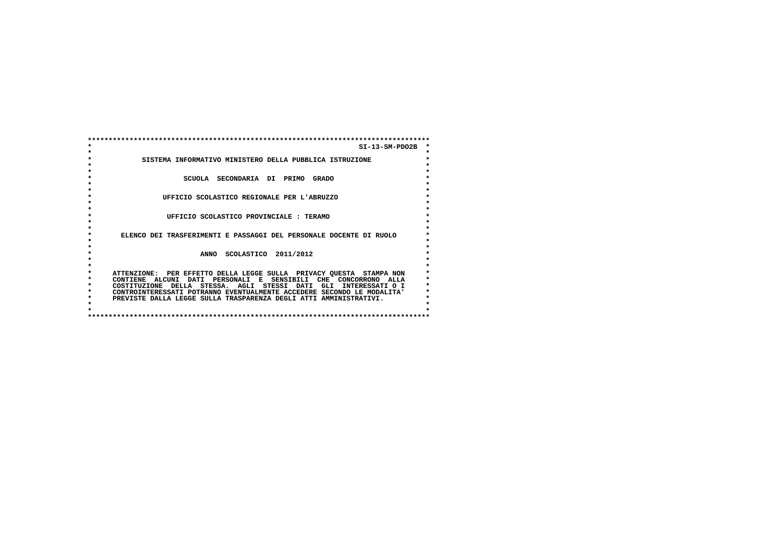**\*\*\*\*\*\*\*\*\*\*\*\*\*\*\*\*\*\*\*\*\*\*\*\*\*\*\*\*\*\*\*\*\*\*\*\*\*\*\*\*\*\*\*\*\*\*\*\*\*\*\*\*\*\*\*\*\*\*\*\*\*\*\*\*\*\*\*\*\*\*\*\*\*\*\*\*\*\*\*\*\*\* \* SI-13-SM-PDO2B \* \* \* \* SISTEMA INFORMATIVO MINISTERO DELLA PUBBLICA ISTRUZIONE \* \* \* \* \* \* SCUOLA SECONDARIA DI PRIMO GRADO \* \* \* \* \* \* UFFICIO SCOLASTICO REGIONALE PER L'ABRUZZO \* \* \* \* \* \* UFFICIO SCOLASTICO PROVINCIALE : TERAMO \* \* \* \* \* \* ELENCO DEI TRASFERIMENTI E PASSAGGI DEL PERSONALE DOCENTE DI RUOLO \* \* \* \* \* \* ANNO SCOLASTICO 2011/2012 \* \* \* \* \* \* ATTENZIONE: PER EFFETTO DELLA LEGGE SULLA PRIVACY QUESTA STAMPA NON \* \* CONTIENE ALCUNI DATI PERSONALI E SENSIBILI CHE CONCORRONO ALLA \* \* COSTITUZIONE DELLA STESSA. AGLI STESSI DATI GLI INTERESSATI O I \*** $\ddot{\phantom{0}}$  **\* CONTROINTERESSATI POTRANNO EVENTUALMENTE ACCEDERE SECONDO LE MODALITA' \* \* PREVISTE DALLA LEGGE SULLA TRASPARENZA DEGLI ATTI AMMINISTRATIVI. \* \* \* \* \* \*\*\*\*\*\*\*\*\*\*\*\*\*\*\*\*\*\*\*\*\*\*\*\*\*\*\*\*\*\*\*\*\*\*\*\*\*\*\*\*\*\*\*\*\*\*\*\*\*\*\*\*\*\*\*\*\*\*\*\*\*\*\*\*\*\*\*\*\*\*\*\*\*\*\*\*\*\*\*\*\*\***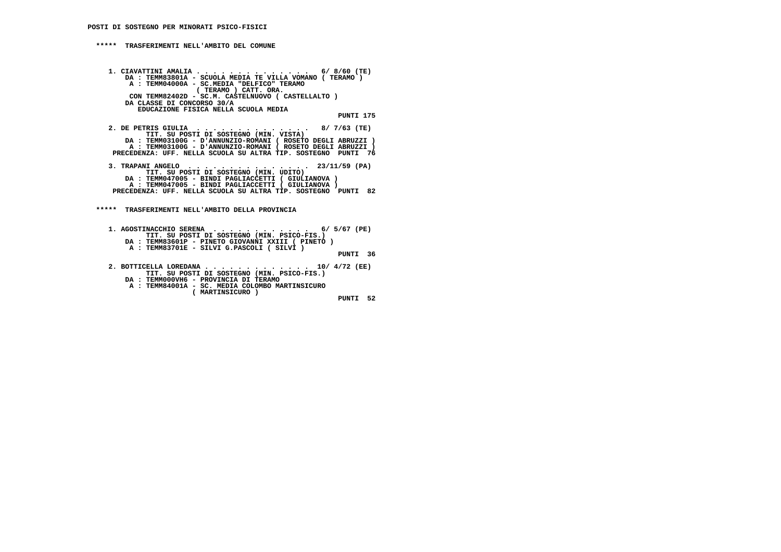**\*\*\*\*\* TRASFERIMENTI NELL'AMBITO DEL COMUNE**

 **1. CIAVATTINI AMALIA . . . . . . . . . . . . . . 6/ 8/60 (TE) DA : TEMM83801A - SCUOLA MEDIA TE VILLA VOMANO ( TERAMO ) A : TEMM04000A - SC.MEDIA "DELFICO" TERAMO ( TERAMO ) CATT. ORA. CON TEMM82402D - SC.M. CASTELNUOVO ( CASTELLALTO ) DA CLASSE DI CONCORSO 30/A EDUCAZIONE FISICA NELLA SCUOLA MEDIA PUNTI 175 2. DE PETRIS GIULIA . . . . . . . . . . . . . . 8/ 7/63 (TE) TIT. SU POSTI DI SOSTEGNO (MIN. VISTA) DA : TEMM03100G - D'ANNUNZIO-ROMANI ( ROSETO DEGLI ABRUZZI ) A : TEMM03100G - D'ANNUNZIO-ROMANI ( ROSETO DEGLI ABRUZZI ) PRECEDENZA: UFF. NELLA SCUOLA SU ALTRA TIP. SOSTEGNO PUNTI 76 3. TRAPANI ANGELO . . . . . . . . . . . . . . . 23/11/59 (PA) TIT. SU POSTI DI SOSTEGNO (MIN. UDITO) DA : TEMM047005 - BINDI PAGLIACCETTI ( GIULIANOVA ) A : TEMM047005 - BINDI PAGLIACCETTI ( GIULIANOVA ) PRECEDENZA: UFF. NELLA SCUOLA SU ALTRA TIP. SOSTEGNO PUNTI 82**

 **\*\*\*\*\* TRASFERIMENTI NELL'AMBITO DELLA PROVINCIA**

```
 1. AGOSTINACCHIO SERENA . . . . . . . . . . . . 6/ 5/67 (PE) TIT. SU POSTI DI SOSTEGNO (MIN. PSICO-FIS.)
DA : TEMM83601P - PINETO GIOVANNI XXIII ( PINETO ) A : TEMM83701E - SILVI G.PASCOLI ( SILVI ) PUNTI 36 2. BOTTICELLA LOREDANA . . . . . . . . . . . . . 10/ 4/72 (EE)
TIT. SU POSTI DI SOSTEGNO (MIN. PSICO-FIS.) DA : TEMM000VH6 - PROVINCIA DI TERAMO
```

```

A : TEMM84001A - SC. MEDIA COLOMBO MARTINSICURO ( MARTINSICURO )
```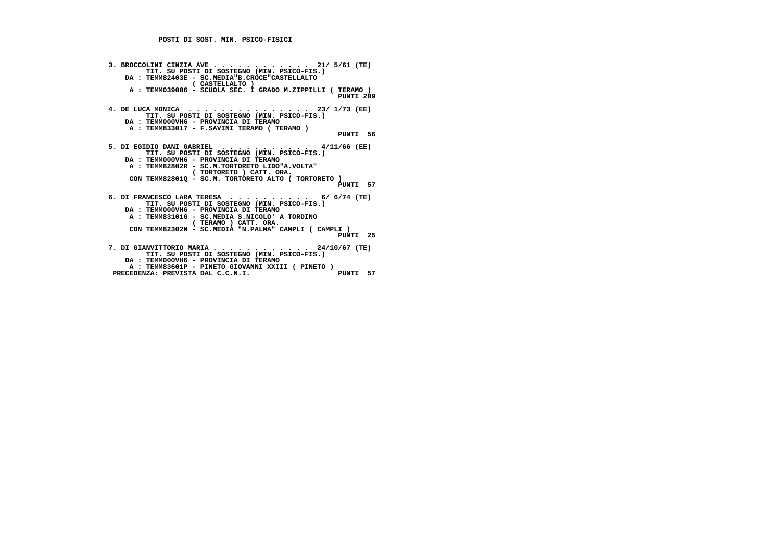| 3. BROCCOLINI CINZIA AVE 21/ $5/61$ (TE)                   |  |
|------------------------------------------------------------|--|
| TIT. SU POSTI DI SOSTEGNO (MIN. PSICO-FIS.)                |  |
| DA : TEMM82403E - SC.MEDIA"B.CROCE"CASTELLALTO             |  |
| (CASTELLALTO)                                              |  |
| A : TEMM039006 - SCUOLA SEC. I GRADO M.ZIPPILLI ( TERAMO ) |  |
| PUNTI 209                                                  |  |
| 4. DE LUCA MONICA $\ldots$ , 23/ 1/73 (EE)                 |  |
| TIT. SU POSTI DI SOSTEGNO (MIN. PSICO-FIS.)                |  |
| DA: TEMM000VH6 - PROVINCIA DI TERAMO                       |  |
| A : TEMM833017 - F.SAVINI TERAMO ( TERAMO )                |  |
| PUNTI 56                                                   |  |
|                                                            |  |
| 5. DI EGIDIO DANI GABRIEL 4/11/66 (EE)                     |  |
| TIT. SU POSTI DI SOSTEGNO (MIN. PSICO-FIS.)                |  |
| DA : TEMM000VH6 - PROVINCIA DI TERAMO                      |  |
| A: TEMM82802R - SC.M.TORTORETO LIDO"A.VOLTA"               |  |
| (TORTORETO) CATT. ORA.                                     |  |
| CON TEMM828010 - SC.M. TORTORETO ALTO ( TORTORETO )        |  |
| PUNTI 57                                                   |  |
| 6. DI FRANCESCO LARA TERESA $\ldots$ , 6/6/74 (TE)         |  |
| TIT. SU POSTI DI SOSTEGNO (MIN. PSICO-FIS.)                |  |
| DA : TEMM000VH6 - PROVINCIA DI TERAMO                      |  |
| A : TEMM83101G - SC.MEDIA S.NICOLO' A TORDINO              |  |
| (TERAMO) CATT. ORA.                                        |  |
| CON TEMM82302N - SC.MEDIA "N.PALMA" CAMPLI (CAMPLI)        |  |
| PUNTI 25                                                   |  |
|                                                            |  |
| 7. DI GIANVITTORIO MARIA 24/10/67 (TE)                     |  |
| TIT. SU POSTI DI SOSTEGNO (MIN. PSICO-FIS.)                |  |
| DA : TEMM000VH6 - PROVINCIA DI TERAMO                      |  |
| A : TEMM83601P - PINETO GIOVANNI XXIII ( PINETO )          |  |
| PRECEDENZA: PREVISTA DAL C.C.N.I.<br>57<br>PUNTI           |  |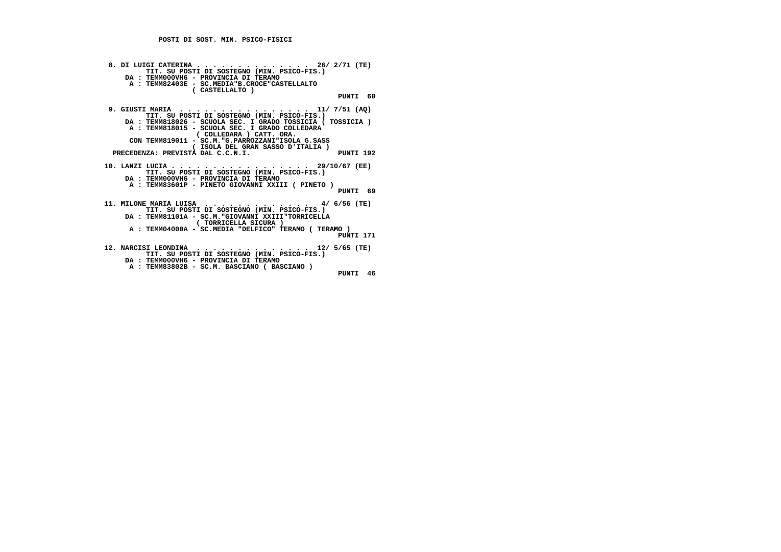| 8. DI LUIGI CATERINA 26/ 2/71 (TE)<br>TIT. SU POSTI DI SOSTEGNO (MIN. PSICO-FIS.)<br>DA: TEMM000VH6 - PROVINCIA DI TERAMO              |
|----------------------------------------------------------------------------------------------------------------------------------------|
| A : TEMM82403E - SC.MEDIA"B.CROCE"CASTELLALTO<br>(CASTELLALTO)                                                                         |
| PUNTI 60                                                                                                                               |
| 9. GIUSTI MARIA 11/ 7/51 (AQ)<br>TIT. SU POSTI DI SOSTEGNO (MIN. PSICO-FIS.)                                                           |
| DA: TEMM818026 - SCUOLA SEC. I GRADO TOSSICIA ( TOSSICIA )<br>A : TEMM818015 - SCUOLA SEC. I GRADO COLLEDARA<br>(COLLEDARA) CATT. ORA. |
| CON TEMM819011 - SC.M. "G. PARROZZANI"ISOLA G. SASS<br>( ISOLA DEL GRAN SASSO D'ITALIA )                                               |
| PRECEDENZA: PREVISTA DAL C.C.N.I.<br>PUNTI 192                                                                                         |
| 10. LANZI LUCIA 29/10/67 (EE)<br>TIT. SU POSTI DI SOSTEGNO (MIN. PSICO-FIS.)                                                           |
| DA : TEMM000VH6 - PROVINCIA DI TERAMO<br>A : TEMM83601P - PINETO GIOVANNI XXIII ( PINETO )<br>PUNTI 69                                 |
| TIT. SU POSTI DI SOSTEGNO (MIN. PSICO-FIS.)                                                                                            |
| DA: TEMM81101A - SC.M. "GIOVANNI XXIII"TORRICELLA<br>(TORRICELLA SICURA)                                                               |
| A: TEMM04000A - SC.MEDIA "DELFICO" TERAMO (TERAMO)<br>PUNTI 171                                                                        |
| 12. NARCISI LEONDINA 12/ 5/65 (TE)<br>TIT. SU POSTI DI SOSTEGNO (MIN. PSICO-FIS.)                                                      |
| DA : TEMM000VH6 - PROVINCIA DI TERAMO                                                                                                  |
| A : TEMM83802B - SC.M. BASCIANO ( BASCIANO )                                                                                           |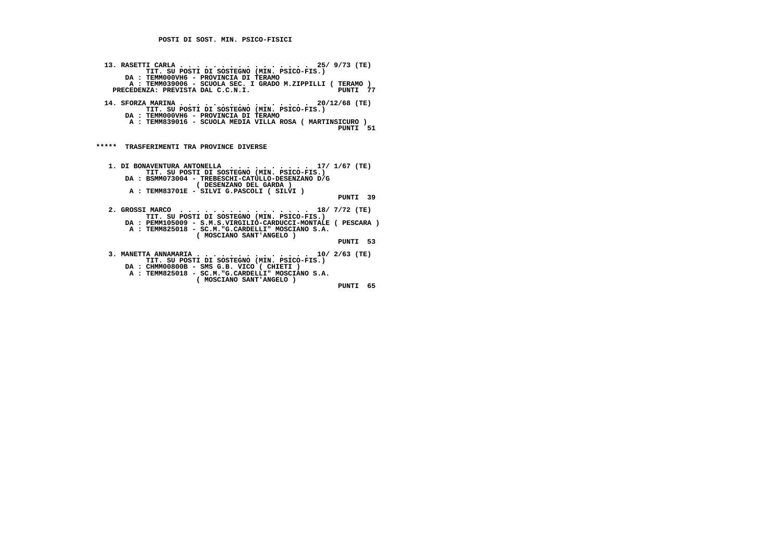| 13. RASETTI CARLA 25/ 9/73 (TE)<br>TIT. SU POSTI DI SOSTEGNO (MIN. PSICO-FIS.)<br>DA: TEMM000VH6 - PROVINCIA DI TERAMO<br>A: TEMM039006 - SCUOLA SEC. I GRADO M.ZIPPILLI (TERAMO)<br>PRECEDENZA: PREVISTA DAL C.C.N.I.        | PINTT 77    |
|-------------------------------------------------------------------------------------------------------------------------------------------------------------------------------------------------------------------------------|-------------|
| 14. SFORZA MARINA 20/12/68 (TE)<br>TIT. SU POSTI DI SOSTEGNO (MIN. PSICO-FIS.)<br>DA : TEMM000VH6 - PROVINCIA DI TERAMO<br>A : TEMM839016 - SCUOLA MEDIA VILLA ROSA ( MARTINSICURO )                                          | PUNTI 51    |
| *****<br>TRASFERIMENTI TRA PROVINCE DIVERSE                                                                                                                                                                                   |             |
| 1. DI BONAVENTURA ANTONELLA 17/ 1/67 (TE)<br>TIT. SU POSTI DI SOSTEGNO (MIN. PSICO-FIS.)<br>DA: BSMM073004 - TREBESCHI-CATULLO-DESENZANO D/G<br>( DESENZANO DEL GARDA )<br>A : TEMM83701E - SILVI G.PASCOLI ( SILVI )         | PUNTI 39    |
| 2. GROSSI MARCO 18/ 7/72 (TE)<br>TIT. SU POSTI DI SOSTEGNO (MIN. PSICO-FIS.)<br>DA: PEMM105009 - S.M.S.VIRGILIO-CARDUCCI-MONTALE ( PESCARA )<br>A : TEMM825018 - SC.M. "G.CARDELLI" MOSCIANO S.A.<br>( MOSCIANO SANT'ANGELO ) | PUNTI 53    |
| 3. MANETTA ANNAMARIA 10/ 2/63 (TE)<br>TIT. SU POSTI DI SOSTEGNO (MIN. PSICO-FIS.)<br>DA : CHMM00800B - SMS G.B. VICO ( CHIETI )<br>A : TEMM825018 - SC.M. "G.CARDELLI" MOSCIANO S.A.<br>( MOSCIANO SANT'ANGELO )              | PUNTI<br>65 |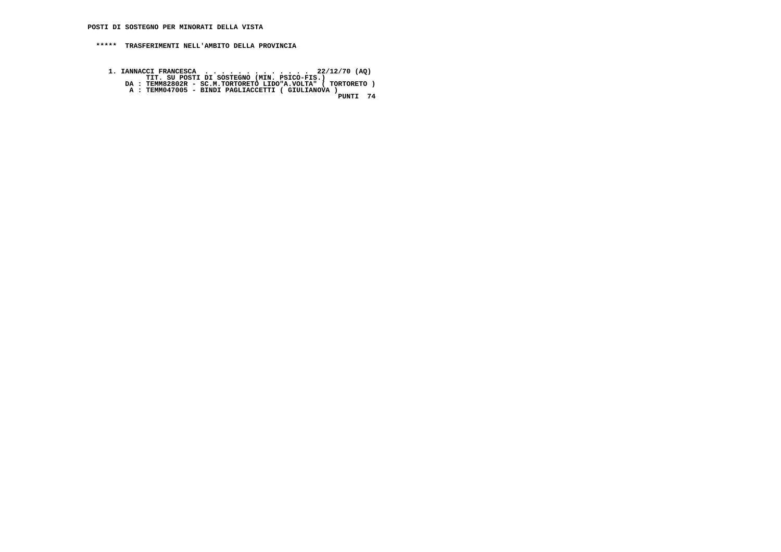- 1. IANNACCI FRANCESCA . . . . . . . . . . . . . . . . 22/12/70 (AQ)<br>TIT. SU POSTI DI SOSTEGNO (MIN. PSICO-FIS.)<br>DA : TEMM82802R SC.M.TORTORETO LIDO"A.VOLTA" ( TORTORETO )<br>A : TEMM047005 BINDI PAGLIACCETTI ( GIULIANOVA
	-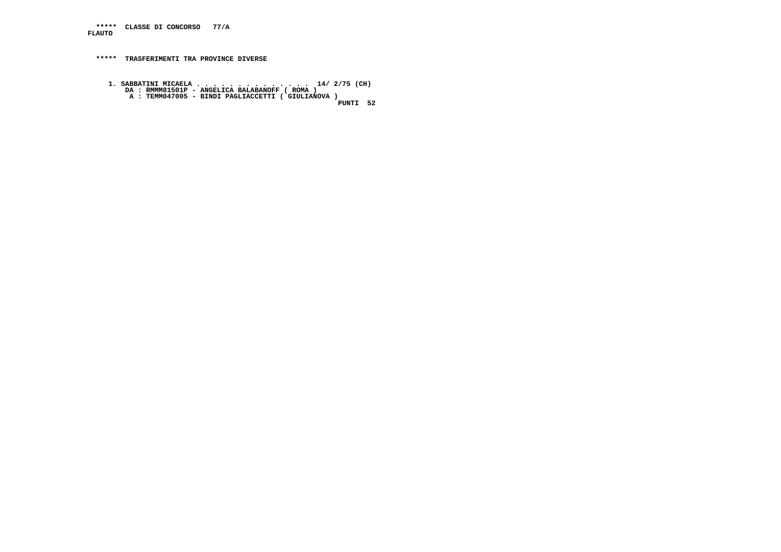**\*\*\*\*\* CLASSE DI CONCORSO 77/A FLAUTO**

 **\*\*\*\*\* TRASFERIMENTI TRA PROVINCE DIVERSE**

**1. SABBATINI MICAELA . . . . . . . . . . . . . . . . . . 14/ 2/75 (CH)**<br>DA : RMMM81501P - ANGELICA BALABANOFF ( ROMA )<br>A : TEMM047005 - BINDI PAGLIACCETTI ( GIULIANOVA )<br>PUNTI 52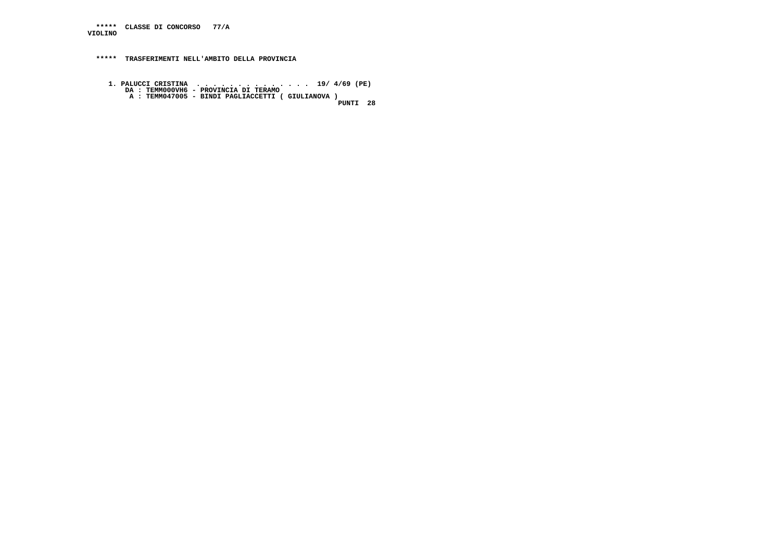**\*\*\*\*\* CLASSE DI CONCORSO 77/A VIOLINO**

 **\*\*\*\*\* TRASFERIMENTI NELL'AMBITO DELLA PROVINCIA**

**1. PALUCCI CRISTINA ..................... 19/ 4/69 (PE)**<br>DA : TEMM000VH6 - PROVINCIA DI TERAMO<br>A : TEMM047005 - BINDI PAGLIACCETTI ( GIULIANOVA )<br>PUNTI 28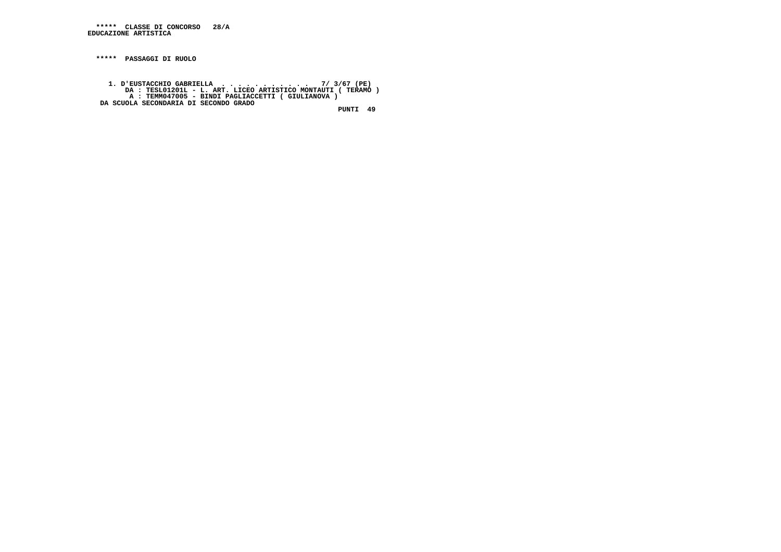**\*\*\*\*\* PASSAGGI DI RUOLO**

 **1. D'EUSTACCHIO GABRIELLA . . . . . . . . . . . 7/ 3/67 (PE) DA : TESL01201L - L. ART. LICEO ARTISTICO MONTAUTI ( TERAMO ) A : TEMM047005 - BINDI PAGLIACCETTI ( GIULIANOVA ) DA SCUOLA SECONDARIA DI SECONDO GRADO PUNTI 49**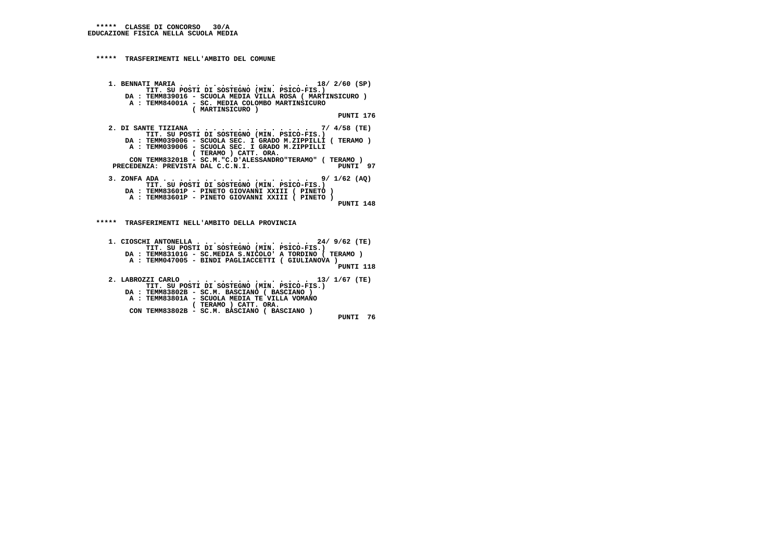### **\*\*\*\*\* TRASFERIMENTI NELL'AMBITO DEL COMUNE**

 **1. BENNATI MARIA . . . . . . . . . . . . . . . . 18/ 2/60 (SP) TIT. SU POSTI DI SOSTEGNO (MIN. PSICO-FIS.) DA : TEMM839016 - SCUOLA MEDIA VILLA ROSA ( MARTINSICURO ) A : TEMM84001A - SC. MEDIA COLOMBO MARTINSICURO ( MARTINSICURO ) PUNTI 176 2. DI SANTE TIZIANA . . . . . . . . . . . . . . 7/ 4/58 (TE) TIT. SU POSTI DI SOSTEGNO (MIN. PSICO-FIS.) DA : TEMM039006 - SCUOLA SEC. I GRADO M.ZIPPILLI ( TERAMO ) A : TEMM039006 - SCUOLA SEC. I GRADO M.ZIPPILLI CON TEMM83201B - SC.M."C.D'ALESSANDRO"TERAMO" ( TERAMO ) ( TERAMO ) CATT. ORA.**PUNTI 97 PRECEDENZA: PREVISTA DAL C.C.N.I.  **3. ZONFA ADA . . . . . . . . . . . . . . . . . . 9/ 1/62 (AQ) TIT. SU POSTI DI SOSTEGNO (MIN. PSICO-FIS.) DA : TEMM83601P - PINETO GIOVANNI XXIII ( PINETO ) A : TEMM83601P - PINETO GIOVANNI XXIII ( PINETO ) PUNTI 148 \*\*\*\*\* TRASFERIMENTI NELL'AMBITO DELLA PROVINCIA 1. CIOSCHI ANTONELLA . . . . . . . . . . . . . . 24/ 9/62 (TE) TIT. SU POSTI DI SOSTEGNO (MIN. PSICO-FIS.)**

 **DA : TEMM83101G - SC.MEDIA S.NICOLO' A TORDINO ( TERAMO ) A : TEMM047005 - BINDI PAGLIACCETTI ( GIULIANOVA )**

 **PUNTI 118**

 **2. LABROZZI CARLO . . . . . . . . . . . . . . . 13/ 1/67 (TE) TIT. SU POSTI DI SOSTEGNO (MIN. PSICO-FIS.) DA : TEMM83802B - SC.M. BASCIANO ( BASCIANO ) A : TEMM83801A - SCUOLA MEDIA TE VILLA VOMANO ( TERAMO ) CATT. ORA. CON TEMM83802B - SC.M. BASCIANO ( BASCIANO ) PUNTI 76**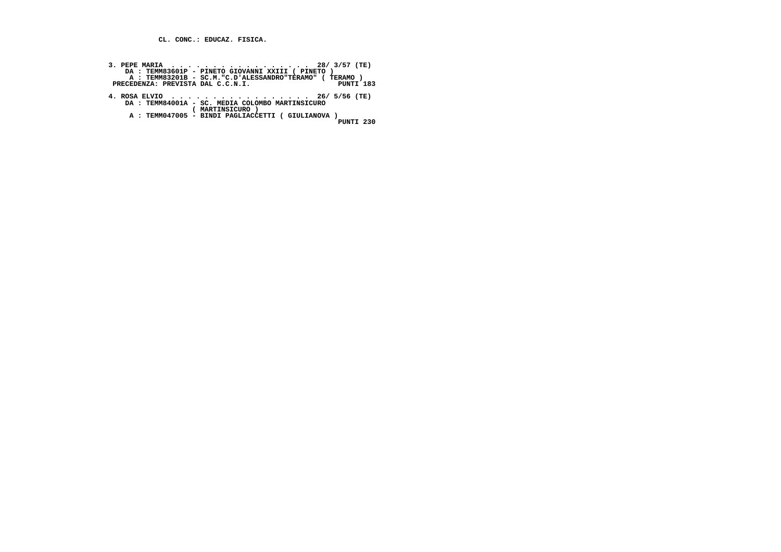**CL. CONC.: EDUCAZ. FISICA.**

| 3. PEPE MARIA 28/ 3/57 (TE)                            |
|--------------------------------------------------------|
| DA: TEMM83601P - PINETO GIOVANNI XXIII ( PINETO )      |
| A: TEMM83201B - SC.M. "C.D'ALESSANDRO"TERAMO" (TERAMO) |
| <b>PINTT 183</b><br>PRECEDENZA: PREVISTA DAL C.C.N.I.  |
|                                                        |
| 4. ROSA ELVIO 26/ 5/56 (TE)                            |
| DA: TEMM84001A - SC. MEDIA COLOMBO MARTINSICURO        |
| ( MARTINSICURO )                                       |
| A : TEMM047005 - BINDI PAGLIACCETTI ( GIULIANOVA )     |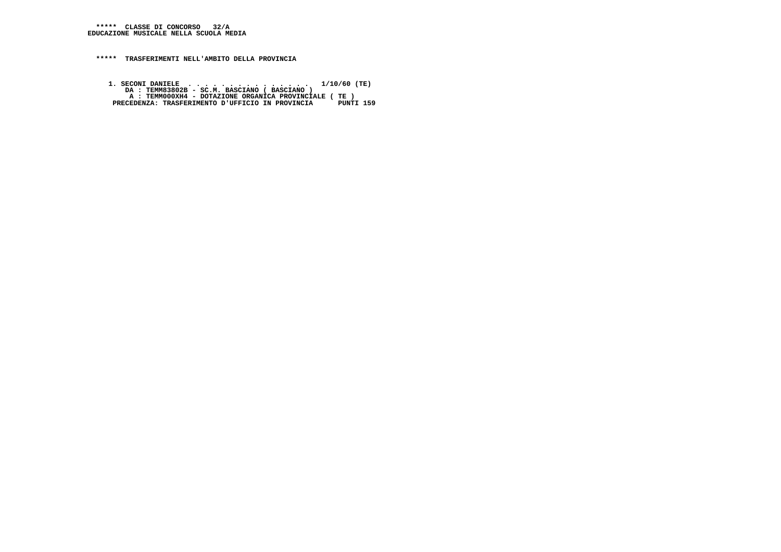**1. SECONI DANIELE . . . . . . . . . . . . . . . 1/10/60 (TE) DA : TEMM83802B - SC.M. BASCIANO ( BASCIANO ) A : TEMM000XH4 - DOTAZIONE ORGANICA PROVINCIALE ( TE ) PRECEDENZA: TRASFERIMENTO D'UFFICIO IN PROVINCIA PUNTI 159**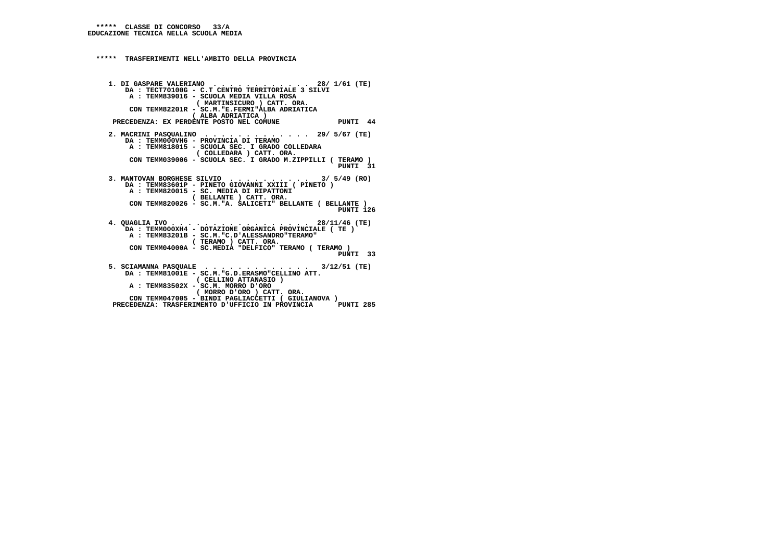```
 ***** TRASFERIMENTI NELL'AMBITO DELLA PROVINCIA 1. DI GASPARE VALERIANO . . . . . . . . . . . . 28/ 1/61 (TE)
DA : TECT70100G - C.T CENTRO TERRITORIALE 3 SILVI A : TEMM839016 - SCUOLA MEDIA VILLA ROSA
( MARTINSICURO ) CATT. ORA.
CON TEMM82201R - SC.M."E.FERMI"ALBA ADRIATICA ( ALBA ADRIATICA )
PRECEDENZA: EX PERDENTE POSTO NEL COMUNE PUNTI 44 2. MACRINI PASQUALINO . . . . . . . . . . . . . 29/ 5/67 (TE)
DA : TEMM000VH6 - PROVINCIA DI TERAMO
A : TEMM818015 - SCUOLA SEC. I GRADO COLLEDARA ( COLLEDARA ) CATT. ORA.
CON TEMM039006 - SCUOLA SEC. I GRADO M.ZIPPILLI ( TERAMO )
PUNTI 31
3. MANTOVAN BORGHESE SILVIO . . . . . . . . . . 3/ 5/49 (RO)
DA : TEMM83601P - PINETO GIOVANNI XXIII ( PINETO )
A : TEMM820015 - SC. MEDIA DI RIPATTONI
( BELLANTE ) CATT. ORA.
CON TEMM820026 - SC.M."A. SALICETI" BELLANTE ( BELLANTE )
PUNTI 126 4. QUAGLIA IVO . . . . . . . . . . . . . . . . . 28/11/46 (TE)
DA : TEMM000XH4 - DOTAZIONE ORGANICA PROVINCIALE ( TE ) A : TEMM83201B - SC.M."C.D'ALESSANDRO"TERAMO" ( TERAMO ) CATT. ORA.
CON TEMM04000A - SC.MEDIA "DELFICO" TERAMO ( TERAMO )
PUNTI 33 5. SCIAMANNA PASQUALE . . . . . . . . . . . . . 3/12/51 (TE)
DA : TEMM81001E - SC.M."G.D.ERASMO"CELLINO ATT. ( CELLINO ATTANASIO ) A : TEMM83502X - SC.M. MORRO D'ORO
( MORRO D'ORO ) CATT. ORA.
CON TEMM047005 - BINDI PAGLIACCETTI ( GIULIANOVA )PUNTI 285
     PRECEDENZA: TRASFERIMENTO D'UFFICIO IN PROVINCIA
```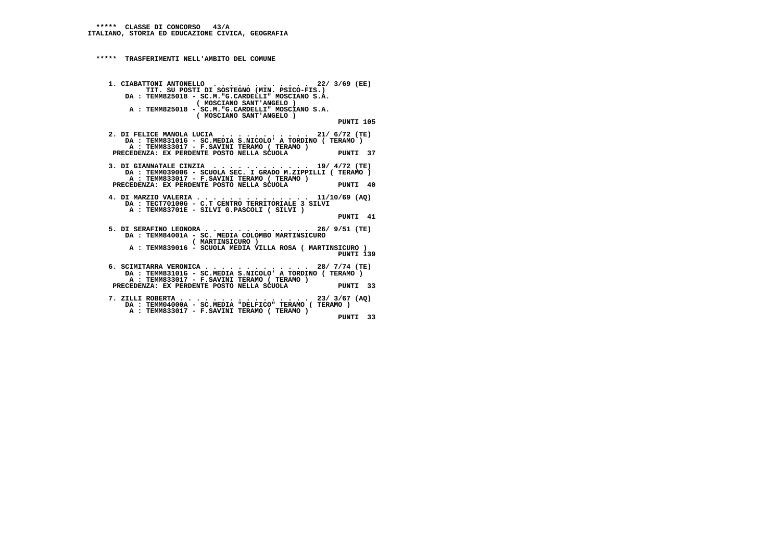### **\*\*\*\*\* TRASFERIMENTI NELL'AMBITO DEL COMUNE**

```
 1. CIABATTONI ANTONELLO . . . . . . . . . . . . 22/ 3/69 (EE) TIT. SU POSTI DI SOSTEGNO (MIN. PSICO-FIS.)
DA : TEMM825018 - SC.M."G.CARDELLI" MOSCIANO S.A. ( MOSCIANO SANT'ANGELO )
A : TEMM825018 - SC.M."G.CARDELLI" MOSCIANO S.A. ( MOSCIANO SANT'ANGELO ) PUNTI 105 2. DI FELICE MANOLA LUCIA . . . . . . . . . . . 21/ 6/72 (TE)
DA : TEMM83101G - SC.MEDIA S.NICOLO' A TORDINO ( TERAMO ) A : TEMM833017 - F.SAVINI TERAMO ( TERAMO ) PRECEDENZA: EX PERDENTE POSTO NELLA SCUOLA PUNTI 37
```
 **3. DI GIANNATALE CINZIA . . . . . . . . . . . . 19/ 4/72 (TE) DA : TEMM039006 - SCUOLA SEC. I GRADO M.ZIPPILLI ( TERAMO ) A : TEMM833017 - F.SAVINI TERAMO ( TERAMO ) PRECEDENZA: EX PERDENTE POSTO NELLA SCUOLA PUNTI 40**

 **4. DI MARZIO VALERIA . . . . . . . . . . . . . . 11/10/69 (AQ) DA : TECT70100G - C.T CENTRO TERRITORIALE 3 SILVI A : TEMM83701E - SILVI G.PASCOLI ( SILVI ) PUNTI 41**

 **5. DI SERAFINO LEONORA . . . . . . . . . . . . . 26/ 9/51 (TE) DA : TEMM84001A - SC. MEDIA COLOMBO MARTINSICURO ( MARTINSICURO ) A : TEMM839016 - SCUOLA MEDIA VILLA ROSA ( MARTINSICURO ) PUNTI 139 6. SCIMITARRA VERONICA . . . . . . . . . . . . . 28/ 7/74 (TE) DA : TEMM83101G - SC.MEDIA S.NICOLO' A TORDINO ( TERAMO ) A : TEMM833017 - F.SAVINI TERAMO ( TERAMO )**

- **PRECEDENZA: EX PERDENTE POSTO NELLA SCUOLA PUNTI 33**
- **7. ZILLI ROBERTA . . . . . . . . . . . . . . . . 23/ 3/67 (AQ) DA : TEMM04000A SC.MEDIA "DELFICO" TERAMO ( TERAMO ) A : TEMM833017 - F.SAVINI TERAMO ( TERAMO ) PUNTI 33**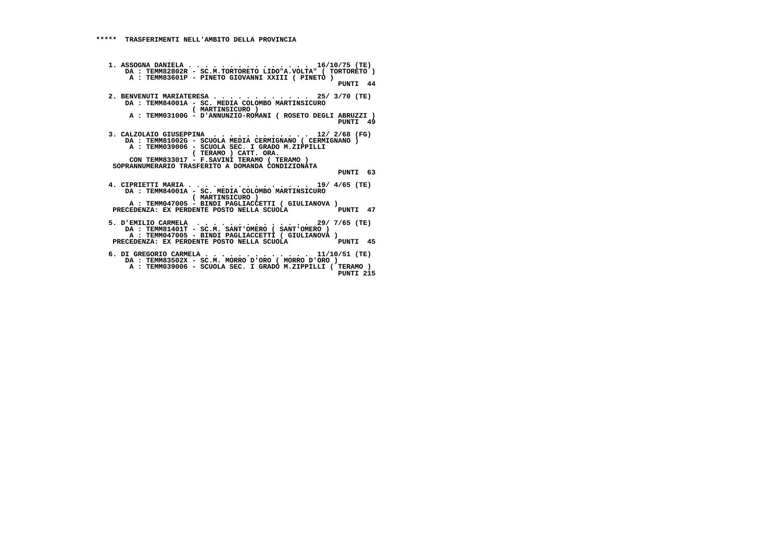```
 1. ASSOGNA DANIELA . . . . . . . . . . . . . . . 16/10/75 (TE)
DA : TEMM82802R - SC.M.TORTORETO LIDO"A.VOLTA" ( TORTORETO ) A : TEMM83601P - PINETO GIOVANNI XXIII ( PINETO ) PUNTI 44 2. BENVENUTI MARIATERESA . . . . . . . . . . . . 25/ 3/70 (TE)
DA : TEMM84001A - SC. MEDIA COLOMBO MARTINSICURO ( MARTINSICURO )
A : TEMM03100G - D'ANNUNZIO-ROMANI ( ROSETO DEGLI ABRUZZI )
PUNTI 49 3. CALZOLAIO GIUSEPPINA . . . . . . . . . . . . 12/ 2/68 (FG)
DA : TEMM81002G - SCUOLA MEDIA CERMIGNANO ( CERMIGNANO ) A : TEMM039006 - SCUOLA SEC. I GRADO M.ZIPPILLI ( TERAMO ) CATT. ORA.
CON TEMM833017 - F.SAVINI TERAMO ( TERAMO )
SOPRANNUMERARIO TRASFERITO A DOMANDA CONDIZIONATA PUNTI 63 4. CIPRIETTI MARIA . . . . . . . . . . . . . . . 19/ 4/65 (TE)
DA : TEMM84001A - SC. MEDIA COLOMBO MARTINSICURO ( MARTINSICURO )
A : TEMM047005 - BINDI PAGLIACCETTI ( GIULIANOVA )PUNTI 47
      PRECEDENZA: EX PERDENTE POSTO NELLA SCUOLA
5. D'EMILIO CARMELA . . . . . . . . . . . . . . 29/ 7/65 (TE)
DA : TEMM81401T - SC.M. SANT'OMERO ( SANT'OMERO )
A : TEMM047005 - BINDI PAGLIACCETTI ( GIULIANOVA )PINTT 45
      PRECEDENZA: EX PERDENTE POSTO NELLA SCUOLA
6. DI GREGORIO CARMELA . . . . . . . . . . . . . 11/10/51 (TE)
DA : TEMM83502X - SC.M. MORRO D'ORO ( MORRO D'ORO )
A : TEMM039006 - SCUOLA SEC. I GRADO M.ZIPPILLI ( TERAMO )
PUNTI 215
```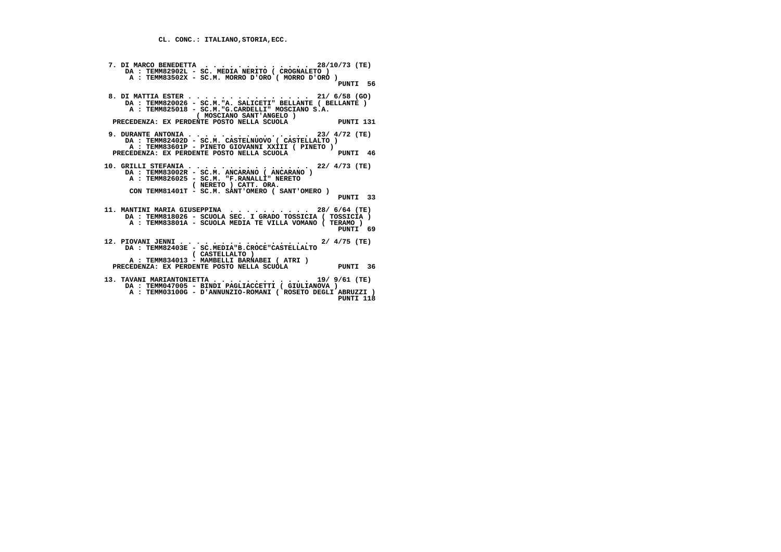```
 7. DI MARCO BENEDETTA . . . . . . . . . . . . . 28/10/73 (TE)
DA : TEMM82902L - SC. MEDIA NERITO ( CROGNALETO )
A : TEMM83502X - SC.M. MORRO D'ORO ( MORRO D'ORO )
PUNTI 56 8. DI MATTIA ESTER . . . . . . . . . . . . . . . 21/ 6/58 (GO)
DA : TEMM820026 - SC.M."A. SALICETI" BELLANTE ( BELLANTE ) A : TEMM825018 - SC.M."G.CARDELLI" MOSCIANO S.A. ( MOSCIANO SANT'ANGELO ) PRECEDENZA: EX PERDENTE POSTO NELLA SCUOLA PUNTI 131 9. DURANTE ANTONIA . . . . . . . . . . . . . . . 23/ 4/72 (TE)
DA : TEMM82402D - SC.M. CASTELNUOVO ( CASTELLALTO )
A : TEMM83601P - PINETO GIOVANNI XXIII ( PINETO ) PRECEDENZA: EX PERDENTE POSTO NELLA SCUOLA PUNTI 46 10. GRILLI STEFANIA . . . . . . . . . . . . . . . 22/ 4/73 (TE)
DA : TEMM83002R - SC.M. ANCARANO ( ANCARANO ) A : TEMM826025 - SC.M. "F.RANALLI" NERETO ( NERETO ) CATT. ORA.
CON TEMM81401T - SC.M. SANT'OMERO ( SANT'OMERO ) PUNTI 33 11. MANTINI MARIA GIUSEPPINA . . . . . . . . . . 28/ 6/64 (TE)
DA : TEMM818026 - SCUOLA SEC. I GRADO TOSSICIA ( TOSSICIA ) A : TEMM83801A - SCUOLA MEDIA TE VILLA VOMANO ( TERAMO )
PUNTI 69 12. PIOVANI JENNI . . . . . . . . . . . . . . . . 2/ 4/75 (TE)
DA : TEMM82403E - SC.MEDIA"B.CROCE"CASTELLALTO ( CASTELLALTO )
A : TEMM834013 - MAMBELLI BARNABEI ( ATRI ) PRECEDENZA: EX PERDENTE POSTO NELLA SCUOLA PUNTI 36 13. TAVANI MARIANTONIETTA . . . . . . . . . . . . 19/ 9/61 (TE)
DA : TEMM047005 - BINDI PAGLIACCETTI ( GIULIANOVA )
A : TEMM03100G - D'ANNUNZIO-ROMANI ( ROSETO DEGLI ABRUZZI )
PUNTI 118
```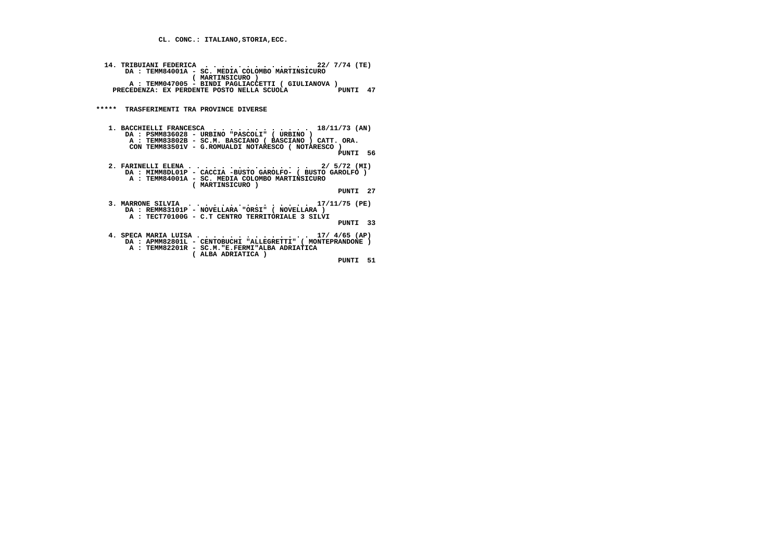**CL. CONC.: ITALIANO,STORIA,ECC.**

| 14. TRIBUIANI FEDERICA  22/ 7/74 (TE)<br>DA: TEMM84001A - SC. MEDIA COLOMBO MARTINSICURO<br>( MARTINSICURO )<br>A : TEMM047005 - BINDI PAGLIACCETTI ( GIULIANOVA )<br>PRECEDENZA: EX PERDENTE POSTO NELLA SCUOLA<br>PUNTI 47 |
|------------------------------------------------------------------------------------------------------------------------------------------------------------------------------------------------------------------------------|
| ***** TRASFERIMENTI TRA PROVINCE DIVERSE                                                                                                                                                                                     |
| 1. BACCHIELLI FRANCESCA 18/11/73 (AN)<br>DA : PSMM836028 - URBINO "PASCOLI" ( URBINO )<br>A : TEMM83802B - SC.M. BASCIANO ( BASCIANO ) CATT. ORA.<br>CON TEMM83501V - G.ROMUALDI NOTARESCO ( NOTARESCO )<br>PINTT 56         |
| 2. FARINELLI ELENA 2/ 5/72 (MI)<br>DA : MIMM8DL01P - CACCIA -BUSTO GAROLFO- ( BUSTO GAROLFO )<br>A : TEMM84001A - SC. MEDIA COLOMBO MARTINSICURO<br>( MARTINSICURO )<br>PUNTI 27                                             |
| 3. MARRONE SILVIA<br>.<br>$\ldots$ 17/11/75 (PE)<br>DA : REMM83101P - NOVELLARA "ORSI" ( NOVELLARA )<br>A: TECT70100G - C.T CENTRO TERRITORIALE 3 SILVI<br>PINTT 33                                                          |

 **4. SPECA MARIA LUISA . . . . . . . . . . . . . . 17/ 4/65 (AP) DA : APMM82801L - CENTOBUCHI "ALLEGRETTI" ( MONTEPRANDONE ) A : TEMM82201R - SC.M."E.FERMI"ALBA ADRIATICA ( ALBA ADRIATICA ) PUNTI 51**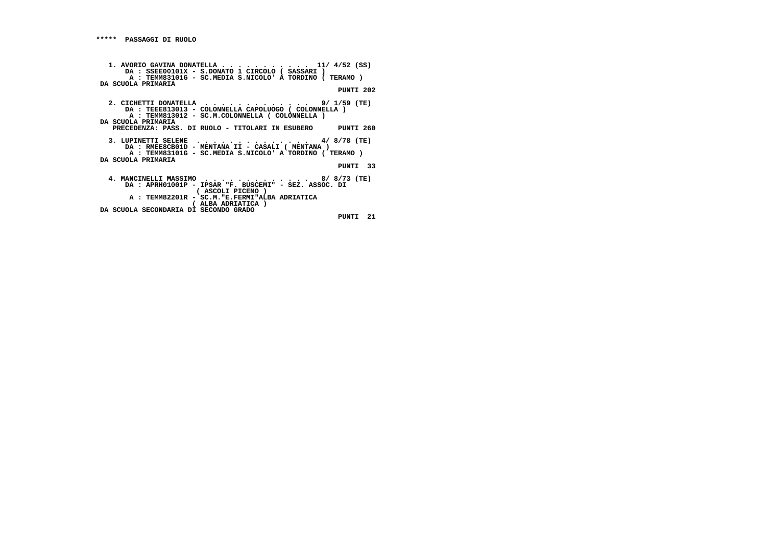```
 1. AVORIO GAVINA DONATELLA . . . . . . . . . . . 11/ 4/52 (SS)
DA : SSEE00101X - S.DONATO 1 CIRCOLO ( SASSARI )
A : TEMM83101G - SC.MEDIA S.NICOLO' A TORDINO ( TERAMO ) DA SCUOLA PRIMARIA PUNTI 202
2. CICHETTI DONATELLA . . . . . . . . . . . . . 9/ 1/59 (TE)
DA : TEEE813013 - COLONNELLA CAPOLUOGO ( COLONNELLA )
A : TEMM813012 - SC.M.COLONNELLA ( COLONNELLA ) DA SCUOLA PRIMARIA
PRECEDENZA: PASS. DI RUOLO - TITOLARI IN ESUBERO PUNTI 260 3. LUPINETTI SELENE . . . . . . . . . . . . . . 4/ 8/78 (TE)
DA : RMEE8CB01D - MENTANA II - CASALI ( MENTANA )
A : TEMM83101G - SC.MEDIA S.NICOLO' A TORDINO ( TERAMO ) DA SCUOLA PRIMARIA PUNTI 33 4. MANCINELLI MASSIMO . . . . . . . . . . . . . 8/ 8/73 (TE)
DA : APRH01001P - IPSAR "F. BUSCEMI" - SEZ. ASSOC. DI ( ASCOLI PICENO )
A : TEMM82201R - SC.M."E.FERMI"ALBA ADRIATICA ( ALBA ADRIATICA ) DA SCUOLA SECONDARIA DI SECONDO GRADO PUNTI 21
```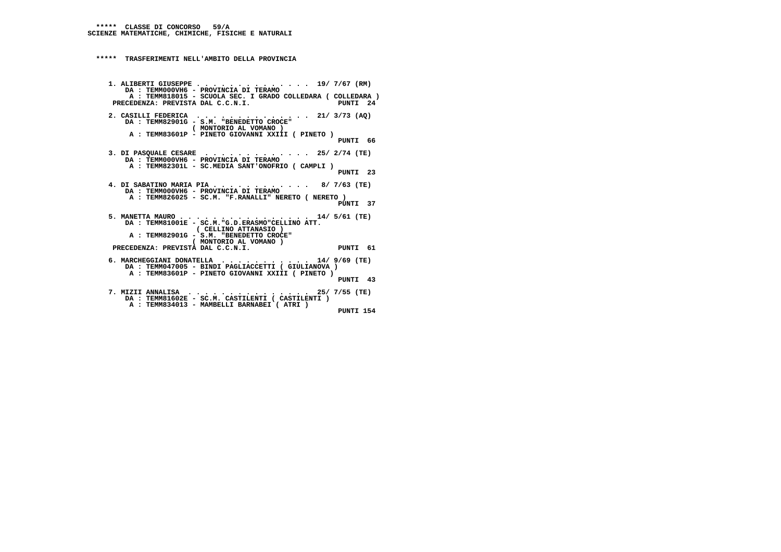```
 1. ALIBERTI GIUSEPPE . . . . . . . . . . . . . . 19/ 7/67 (RM) DA : TEMM000VH6 - PROVINCIA DI TERAMO
A : TEMM818015 - SCUOLA SEC. I GRADO COLLEDARA ( COLLEDARA )PUNTI 24
     PRECEDENZA: PREVISTA DAL C.C.N.I.
     2. CASILLI FEDERICA . . . . . . . . . . . . . . 21/ 3/73 (AQ) DA : TEMM82901G - S.M. "BENEDETTO CROCE" ( MONTORIO AL VOMANO )
A : TEMM83601P - PINETO GIOVANNI XXIII ( PINETO ) PUNTI 66 3. DI PASQUALE CESARE . . . . . . . . . . . . . 25/ 2/74 (TE) DA : TEMM000VH6 - PROVINCIA DI TERAMO
A : TEMM82301L - SC.MEDIA SANT'ONOFRIO ( CAMPLI ) PUNTI 23 4. DI SABATINO MARIA PIA . . . . . . . . . . . . 8/ 7/63 (TE) DA : TEMM000VH6 - PROVINCIA DI TERAMO
A : TEMM826025 - SC.M. "F.RANALLI" NERETO ( NERETO )
PUNTI 37 5. MANETTA MAURO . . . . . . . . . . . . . . . . 14/ 5/61 (TE)
DA : TEMM81001E - SC.M."G.D.ERASMO"CELLINO ATT. ( CELLINO ATTANASIO )
A : TEMM82901G - S.M. "BENEDETTO CROCE" ( MONTORIO AL VOMANO ) PRECEDENZA: PREVISTA DAL C.C.N.I. PUNTI 61 6. MARCHEGGIANI DONATELLA . . . . . . . . . . . 14/ 9/69 (TE)
DA : TEMM047005 - BINDI PAGLIACCETTI ( GIULIANOVA )
A : TEMM83601P - PINETO GIOVANNI XXIII ( PINETO ) PUNTI 43 7. MIZII ANNALISA . . . . . . . . . . . . . . . 25/ 7/55 (TE)
DA : TEMM81602E - SC.M. CASTILENTI ( CASTILENTI ) A : TEMM834013 - MAMBELLI BARNABEI ( ATRI ) PUNTI 154
```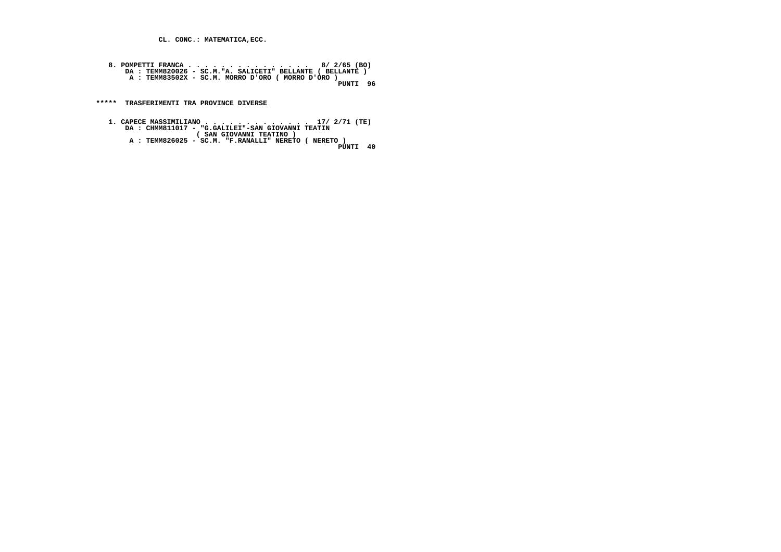**CL. CONC.: MATEMATICA,ECC.**

 **8. POMPETTI FRANCA . . . . . . . . . . . . . . . 8/ 2/65 (BO) DA : TEMM820026 - SC.M."A. SALICETI" BELLANTE ( BELLANTE ) A : TEMM83502X - SC.M. MORRO D'ORO ( MORRO D'ORO ) PUNTI 96**PUNTI 96

 **\*\*\*\*\* TRASFERIMENTI TRA PROVINCE DIVERSE**

- 1. CAPECE MASSIMILIANO . . . . . . . . . . . . . . . . 17/ 2/71 (TE)<br>DA : CHMM811017 "G.GALILEI"-SAN GIOVANNI TEATIN<br>(SAN GIOVANNI TEATINO )<br>A : TEMM826025 SC.M. "F.RANALLI" NERETO ( NERETO )<br>PUNTI 40
	- PUNTI 40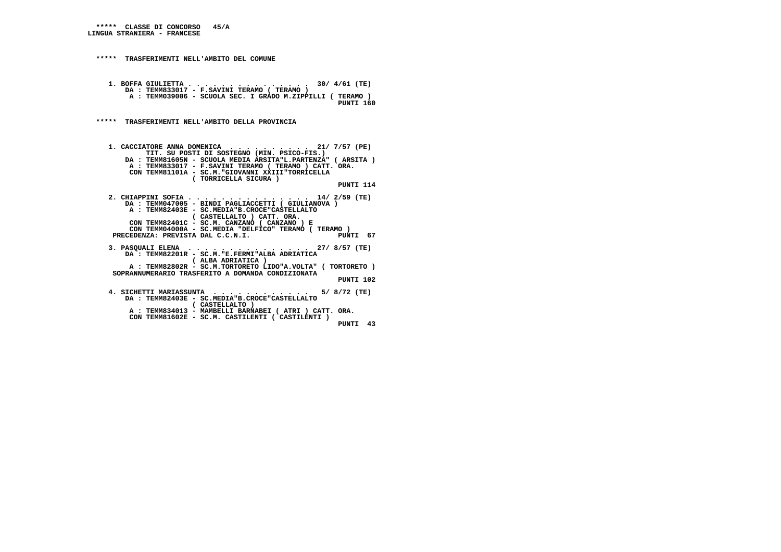## **\*\*\*\*\* CLASSE DI CONCORSO 45/A LINGUA STRANIERA - FRANCESE**

```
 ***** TRASFERIMENTI NELL'AMBITO DEL COMUNE 1. BOFFA GIULIETTA . . . . . . . . . . . . . . . 30/ 4/61 (TE) DA : TEMM833017 - F.SAVINI TERAMO ( TERAMO )
A : TEMM039006 - SCUOLA SEC. I GRADO M.ZIPPILLI ( TERAMO )
PUNTI 160 ***** TRASFERIMENTI NELL'AMBITO DELLA PROVINCIA 1. CACCIATORE ANNA DOMENICA . . . . . . . . . . 21/ 7/57 (PE)
TIT. SU POSTI DI SOSTEGNO (MIN. PSICO-FIS.)
DA : TEMM81605N - SCUOLA MEDIA ARSITA"L.PARTENZA" ( ARSITA ) A : TEMM833017 - F.SAVINI TERAMO ( TERAMO ) CATT. ORA. CON TEMM81101A - SC.M."GIOVANNI XXIII"TORRICELLA ( TORRICELLA SICURA ) PUNTI 114 2. CHIAPPINI SOFIA . . . . . . . . . . . . . . . 14/ 2/59 (TE) DA : TEMM047005 - BINDI PAGLIACCETTI ( GIULIANOVA ) A : TEMM82403E - SC.MEDIA"B.CROCE"CASTELLALTO ( CASTELLALTO ) CATT. ORA.
CON TEMM82401C - SC.M. CANZANO ( CANZANO ) E
CON TEMM04000A - SC.MEDIA "DELFICO" TERAMO ( TERAMO )PUNTI 67
     PRECEDENZA: PREVISTA DAL C.C.N.I.
     3. PASQUALI ELENA . . . . . . . . . . . . . . . 27/ 8/57 (TE) DA : TEMM82201R - SC.M."E.FERMI"ALBA ADRIATICA ( ALBA ADRIATICA )
A : TEMM82802R - SC.M.TORTORETO LIDO"A.VOLTA" ( TORTORETO ) SOPRANNUMERARIO TRASFERITO A DOMANDA CONDIZIONATA PUNTI 102 4. SICHETTI MARIASSUNTA . . . . . . . . . . . . 5/ 8/72 (TE)
DA : TEMM82403E - SC.MEDIA"B.CROCE"CASTELLALTO ( CASTELLALTO )
A : TEMM834013 - MAMBELLI BARNABEI ( ATRI ) CATT. ORA. CON TEMM81602E - SC.M. CASTILENTI ( CASTILENTI ) PUNTI 43
```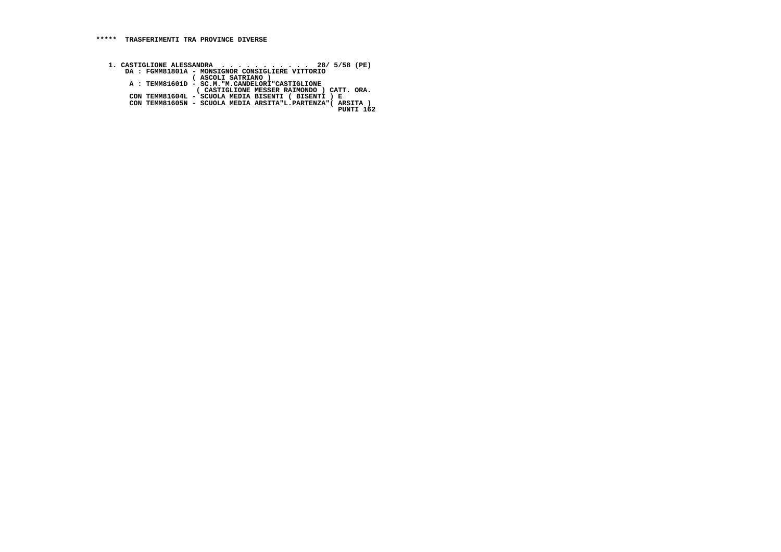1. CASTIGLIONE ALESSANDRA . . . . . . . . . 28/ 5/58 (PE)<br>DA : FGMM81801A - MONSIGNOR CONSIGLIERE VITTORIO<br>( ASCOLI SATRIANO )<br>A : TEMM81601D - SC.M."M.CANDELORI"CASTIGLIONE  **( CASTIGLIONE MESSER RAIMONDO ) CATT. ORA. CON TEMM81604L - SCUOLA MEDIA BISENTI ( BISENTI ) E CON TEMM81605N - SCUOLA MEDIA ARSITA"L.PARTENZA"( ARSITA ) PUNTI 162**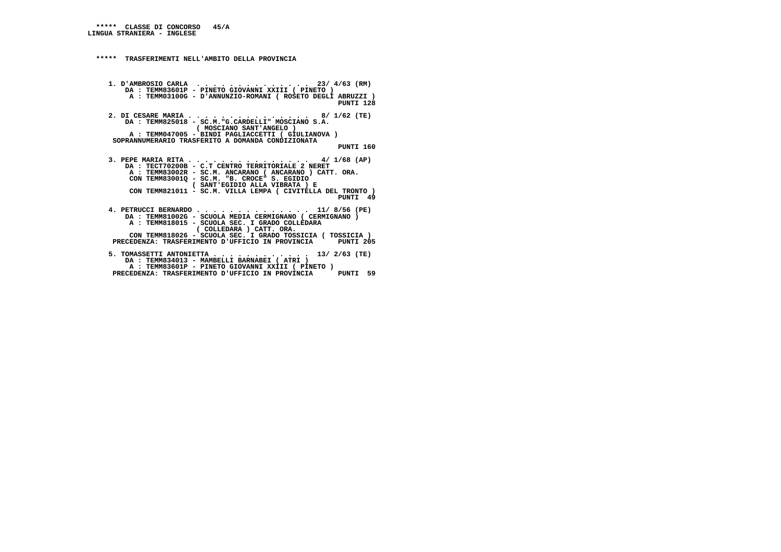**1. D'AMBROSIO CARLA . . . . . . . . . . . . . . 23/ 4/63 (RM) DA : TEMM83601P - PINETO GIOVANNI XXIII ( PINETO ) A : TEMM03100G - D'ANNUNZIO-ROMANI ( ROSETO DEGLI ABRUZZI ) PUNTI 128**

 **2. DI CESARE MARIA . . . . . . . . . . . . . . . 8/ 1/62 (TE) DA : TEMM825018 - SC.M."G.CARDELLI" MOSCIANO S.A. ( MOSCIANO SANT'ANGELO ) A : TEMM047005 - BINDI PAGLIACCETTI ( GIULIANOVA ) SOPRANNUMERARIO TRASFERITO A DOMANDA CONDIZIONATA**

#### **PUNTI 160**

 **3. PEPE MARIA RITA . . . . . . . . . . . . . . . 4/ 1/68 (AP) DA : TECT70200B - C.T CENTRO TERRITORIALE 2 NERET A : TEMM83002R - SC.M. ANCARANO ( ANCARANO ) CATT. ORA. CON TEMM83001Q - SC.M. "B. CROCE" S. EGIDIO ( SANT'EGIDIO ALLA VIBRATA ) E CON TEMM821011 - SC.M. VILLA LEMPA ( CIVITELLA DEL TRONTO ) PUNTI 49**

 **4. PETRUCCI BERNARDO . . . . . . . . . . . . . . 11/ 8/56 (PE) DA : TEMM81002G - SCUOLA MEDIA CERMIGNANO ( CERMIGNANO ) A : TEMM818015 - SCUOLA SEC. I GRADO COLLEDARA ( COLLEDARA ) CATT. ORA. CON TEMM818026 - SCUOLA SEC. I GRADO TOSSICIA ( TOSSICIA )**PUNTI 205 PRECEDENZA: TRASFERIMENTO D'UFFICIO IN PROVINCIA  **5. TOMASSETTI ANTONIETTA . . . . . . . . . . . . 13/ 2/63 (TE) DA : TEMM834013 - MAMBELLI BARNABEI ( ATRI )**

  **A : TEMM83601P - PINETO GIOVANNI XXIII ( PINETO ) PRECEDENZA: TRASFERIMENTO D'UFFICIO IN PROVINCIA PUNTI 59**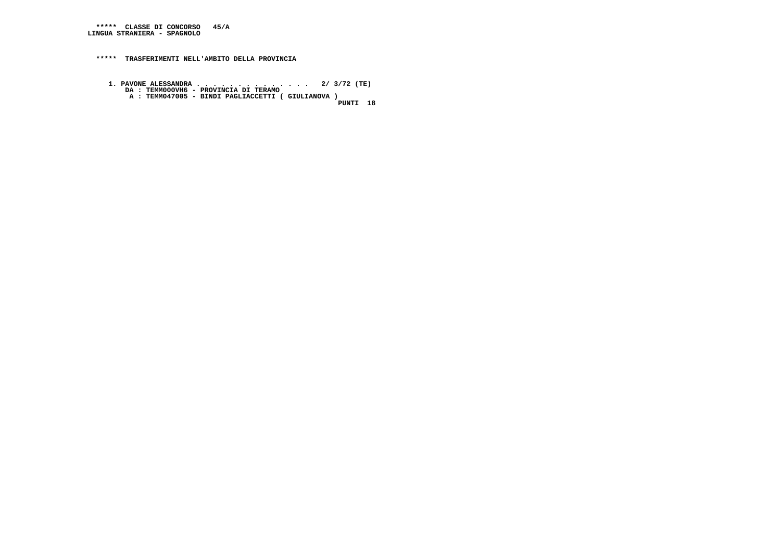**\*\*\*\*\* CLASSE DI CONCORSO 45/A LINGUA STRANIERA - SPAGNOLO**

 **\*\*\*\*\* TRASFERIMENTI NELL'AMBITO DELLA PROVINCIA**

 **1. PAVONE ALESSANDRA . . . . . . . . . . . . . . 2/ 3/72 (TE) DA : TEMM000VH6 - PROVINCIA DI TERAMO A : TEMM047005 - BINDI PAGLIACCETTI ( GIULIANOVA )**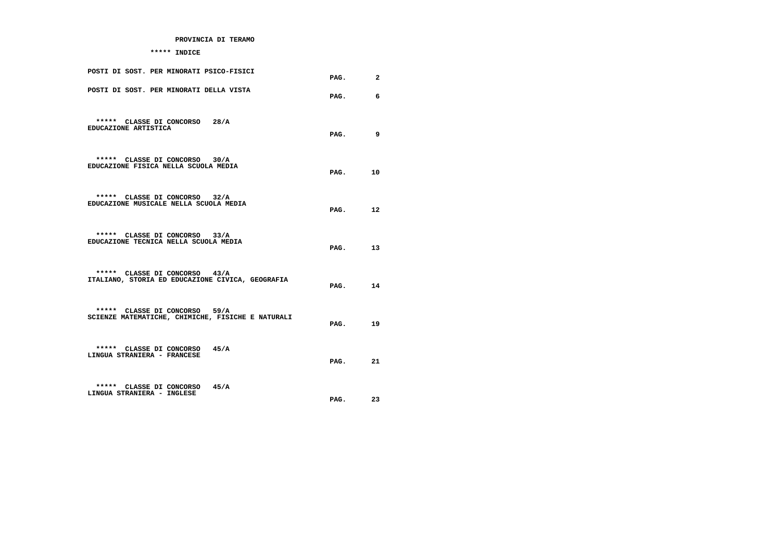## **PROVINCIA DI TERAMO**

## **\*\*\*\*\* INDICE**

| POSTI DI SOST. PER MINORATI PSICO-FISICI                                           | PAG.    | $\mathbf{2}$ |
|------------------------------------------------------------------------------------|---------|--------------|
| POSTI DI SOST. PER MINORATI DELLA VISTA                                            | PAG.    | 6            |
| ***** CLASSE DI CONCORSO 28/A<br>EDUCAZIONE ARTISTICA                              | PAG.    | 9            |
| ***** CLASSE DI CONCORSO 30/A<br>EDUCAZIONE FISICA NELLA SCUOLA MEDIA              | PAG.    | 10           |
| ***** CLASSE DI CONCORSO 32/A<br>EDUCAZIONE MUSICALE NELLA SCUOLA MEDIA            | PAG.    | 12           |
| ***** CLASSE DI CONCORSO 33/A<br>EDUCAZIONE TECNICA NELLA SCUOLA MEDIA             | PAG.    | 13           |
| ***** CLASSE DI CONCORSO 43/A<br>ITALIANO, STORIA ED EDUCAZIONE CIVICA, GEOGRAFIA  | PAG.    | 14           |
| ***** CLASSE DI CONCORSO 59/A<br>SCIENZE MATEMATICHE, CHIMICHE, FISICHE E NATURALI | PAG.    | 19           |
| ***** CLASSE DI CONCORSO 45/A<br>LINGUA STRANIERA - FRANCESE                       | PAG. 21 |              |
| ***** CLASSE DI CONCORSO<br>45/A<br>LINGUA STRANIERA - INGLESE                     | PAG.    | 23           |